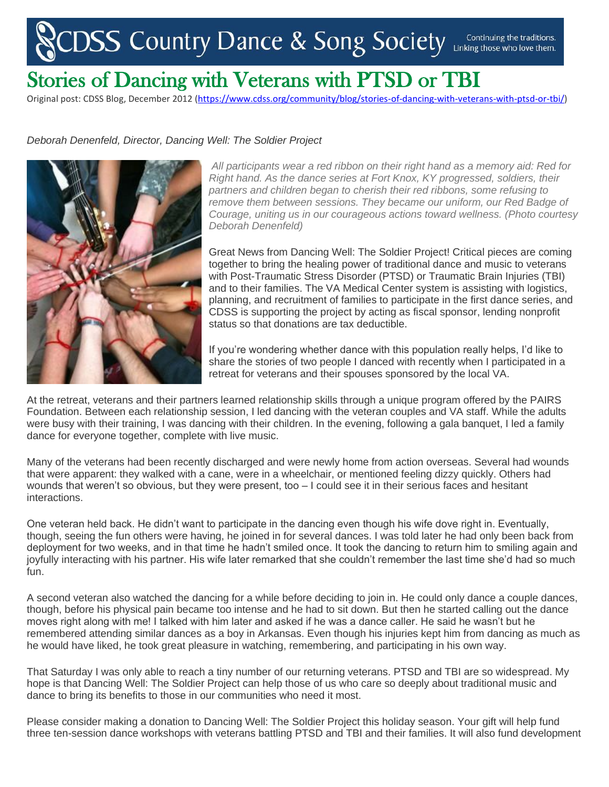## CDSS Country Dance & Song Society Continuing the traditions.

## Stories of Dancing with Veterans with PTSD or TBI

Original post: CDSS Blog, December 2012 [\(https://www.cdss.org/community/blog/stories-of-dancing-with-veterans-with-ptsd-or-tbi/\)](https://www.cdss.org/community/blog/stories-of-dancing-with-veterans-with-ptsd-or-tbi/)

## *Deborah Denenfeld, Director, Dancing Well: The Soldier Project*



*All participants wear a red ribbon on their right hand as a memory aid: Red for Right hand. As the dance series at Fort Knox, KY progressed, soldiers, their partners and children began to cherish their red ribbons, some refusing to remove them between sessions. They became our uniform, our Red Badge of Courage, uniting us in our courageous actions toward wellness. (Photo courtesy Deborah Denenfeld)*

Great News from Dancing Well: The Soldier Project! Critical pieces are coming together to bring the healing power of traditional dance and music to veterans with Post-Traumatic Stress Disorder (PTSD) or Traumatic Brain Injuries (TBI) and to their families. The VA Medical Center system is assisting with logistics, planning, and recruitment of families to participate in the first dance series, and CDSS is supporting the project by acting as fiscal sponsor, lending nonprofit status so that donations are tax deductible.

If you're wondering whether dance with this population really helps, I'd like to share the stories of two people I danced with recently when I participated in a retreat for veterans and their spouses sponsored by the local VA.

At the retreat, veterans and their partners learned relationship skills through a unique program offered by the PAIRS Foundation. Between each relationship session, I led dancing with the veteran couples and VA staff. While the adults were busy with their training, I was dancing with their children. In the evening, following a gala banquet, I led a family dance for everyone together, complete with live music.

Many of the veterans had been recently discharged and were newly home from action overseas. Several had wounds that were apparent: they walked with a cane, were in a wheelchair, or mentioned feeling dizzy quickly. Others had wounds that weren't so obvious, but they were present, too – I could see it in their serious faces and hesitant interactions.

One veteran held back. He didn't want to participate in the dancing even though his wife dove right in. Eventually, though, seeing the fun others were having, he joined in for several dances. I was told later he had only been back from deployment for two weeks, and in that time he hadn't smiled once. It took the dancing to return him to smiling again and joyfully interacting with his partner. His wife later remarked that she couldn't remember the last time she'd had so much fun.

A second veteran also watched the dancing for a while before deciding to join in. He could only dance a couple dances, though, before his physical pain became too intense and he had to sit down. But then he started calling out the dance moves right along with me! I talked with him later and asked if he was a dance caller. He said he wasn't but he remembered attending similar dances as a boy in Arkansas. Even though his injuries kept him from dancing as much as he would have liked, he took great pleasure in watching, remembering, and participating in his own way.

That Saturday I was only able to reach a tiny number of our returning veterans. PTSD and TBI are so widespread. My hope is that Dancing Well: The Soldier Project can help those of us who care so deeply about traditional music and dance to bring its benefits to those in our communities who need it most.

Please consider making a donation to Dancing Well: The Soldier Project this holiday season. Your gift will help fund three ten-session dance workshops with veterans battling PTSD and TBI and their families. It will also fund development